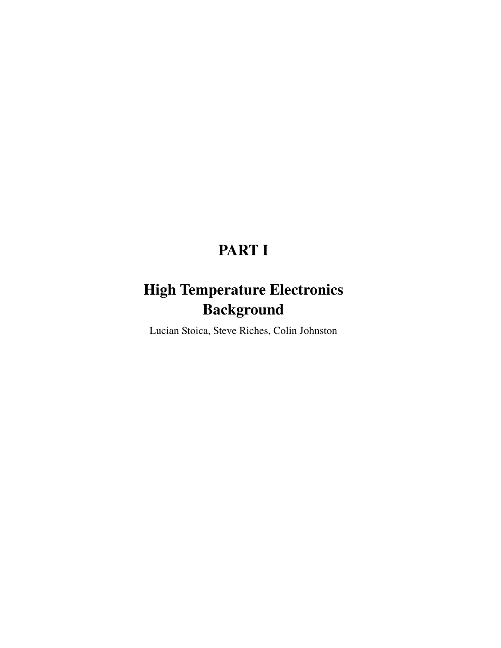# **PART I**

# **High Temperature Electronics Background**

Lucian Stoica, Steve Riches, Colin Johnston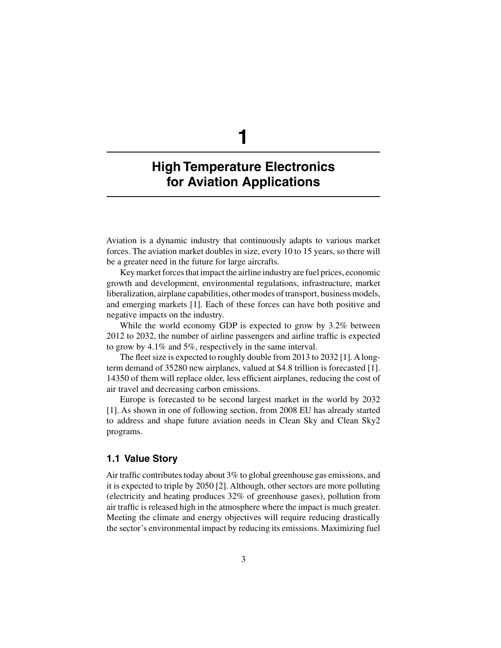# **1**

## **High Temperature Electronics for Aviation Applications**

Aviation is a dynamic industry that continuously adapts to various market forces. The aviation market doubles in size, every 10 to 15 years, so there will be a greater need in the future for large aircrafts.

Key market forces that impact the airline industry are fuel prices, economic growth and development, environmental regulations, infrastructure, market liberalization, airplane capabilities, other modes of transport, business models, and emerging markets [1]. Each of these forces can have both positive and negative impacts on the industry.

While the world economy GDP is expected to grow by 3.2% between 2012 to 2032, the number of airline passengers and airline traffic is expected to grow by 4.1% and 5%, respectively in the same interval.

The fleet size is expected to roughly double from 2013 to 2032 [1]. Alongterm demand of 35280 new airplanes, valued at \$4.8 trillion is forecasted [1]. 14350 of them will replace older, less efficient airplanes, reducing the cost of air travel and decreasing carbon emissions.

Europe is forecasted to be second largest market in the world by 2032 [1]. As shown in one of following section, from 2008 EU has already started to address and shape future aviation needs in Clean Sky and Clean Sky2 programs.

### **1.1 Value Story**

Air traffic contributes today about 3% to global greenhouse gas emissions, and it is expected to triple by 2050 [2]. Although, other sectors are more polluting (electricity and heating produces 32% of greenhouse gases), pollution from air traffic is released high in the atmosphere where the impact is much greater. Meeting the climate and energy objectives will require reducing drastically the sector's environmental impact by reducing its emissions. Maximizing fuel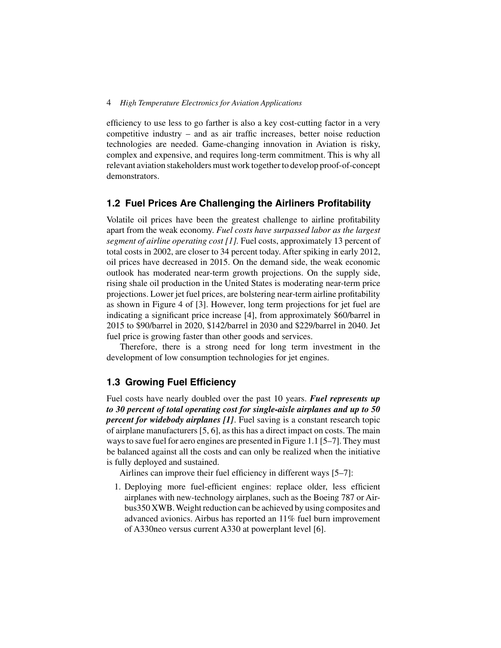#### 4 *High Temperature Electronics for Aviation Applications*

efficiency to use less to go farther is also a key cost-cutting factor in a very competitive industry – and as air traffic increases, better noise reduction technologies are needed. Game-changing innovation in Aviation is risky, complex and expensive, and requires long-term commitment. This is why all relevant aviation stakeholders must work together to develop proof-of-concept demonstrators.

#### **1.2 Fuel Prices Are Challenging the Airliners Profitability**

Volatile oil prices have been the greatest challenge to airline profitability apart from the weak economy. *Fuel costs have surpassed labor as the largest segment of airline operating cost [1].* Fuel costs, approximately 13 percent of total costs in 2002, are closer to 34 percent today. After spiking in early 2012, oil prices have decreased in 2015. On the demand side, the weak economic outlook has moderated near-term growth projections. On the supply side, rising shale oil production in the United States is moderating near-term price projections. Lower jet fuel prices, are bolstering near-term airline profitability as shown in Figure 4 of [3]. However, long term projections for jet fuel are indicating a significant price increase [4], from approximately \$60/barrel in 2015 to \$90/barrel in 2020, \$142/barrel in 2030 and \$229/barrel in 2040. Jet fuel price is growing faster than other goods and services.

Therefore, there is a strong need for long term investment in the development of low consumption technologies for jet engines.

### **1.3 Growing Fuel Efficiency**

Fuel costs have nearly doubled over the past 10 years. *Fuel represents up to 30 percent of total operating cost for single-aisle airplanes and up to 50 percent for widebody airplanes [1]*. Fuel saving is a constant research topic of airplane manufacturers [5, 6], as this has a direct impact on costs. The main ways to save fuel for aero engines are presented in Figure 1.1 [5–7]. They must be balanced against all the costs and can only be realized when the initiative is fully deployed and sustained.

Airlines can improve their fuel efficiency in different ways [5–7]:

1. Deploying more fuel-efficient engines: replace older, less efficient airplanes with new-technology airplanes, such as the Boeing 787 or Airbus350 XWB. Weight reduction can be achieved by using composites and advanced avionics. Airbus has reported an 11% fuel burn improvement of A330neo versus current A330 at powerplant level [6].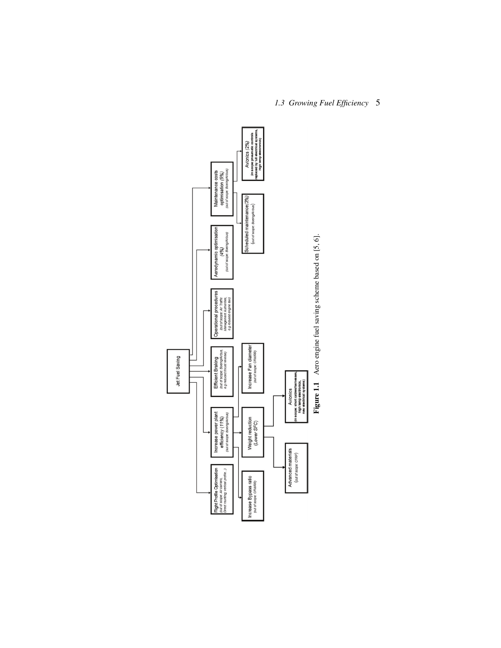

## *1.3 Growing Fuel Efficiency* 5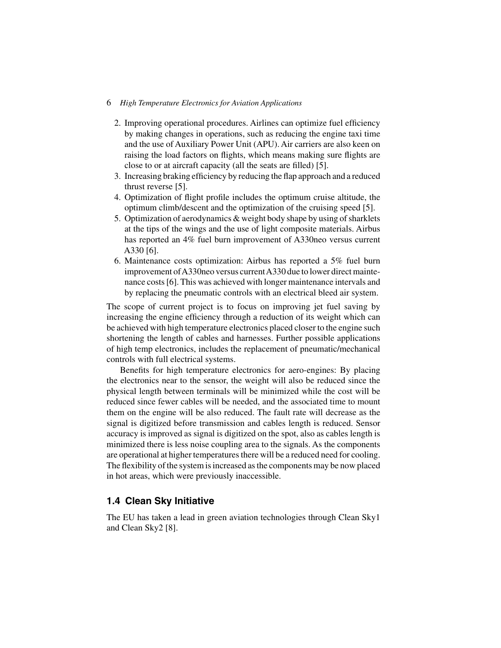#### 6 *High Temperature Electronics for Aviation Applications*

- 2. Improving operational procedures. Airlines can optimize fuel efficiency by making changes in operations, such as reducing the engine taxi time and the use of Auxiliary Power Unit (APU). Air carriers are also keen on raising the load factors on flights, which means making sure flights are close to or at aircraft capacity (all the seats are filled) [5].
- 3. Increasing braking efficiency by reducing the flap approach and a reduced thrust reverse [5].
- 4. Optimization of flight profile includes the optimum cruise altitude, the optimum climb/descent and the optimization of the cruising speed [5].
- 5. Optimization of aerodynamics & weight body shape by using of sharklets at the tips of the wings and the use of light composite materials. Airbus has reported an 4% fuel burn improvement of A330neo versus current A330 [6].
- 6. Maintenance costs optimization: Airbus has reported a 5% fuel burn improvement of A330neo versus current A330 due to lower direct maintenance costs [6]. This was achieved with longer maintenance intervals and by replacing the pneumatic controls with an electrical bleed air system.

The scope of current project is to focus on improving jet fuel saving by increasing the engine efficiency through a reduction of its weight which can be achieved with high temperature electronics placed closer to the engine such shortening the length of cables and harnesses. Further possible applications of high temp electronics, includes the replacement of pneumatic/mechanical controls with full electrical systems.

Benefits for high temperature electronics for aero-engines: By placing the electronics near to the sensor, the weight will also be reduced since the physical length between terminals will be minimized while the cost will be reduced since fewer cables will be needed, and the associated time to mount them on the engine will be also reduced. The fault rate will decrease as the signal is digitized before transmission and cables length is reduced. Sensor accuracy is improved as signal is digitized on the spot, also as cables length is minimized there is less noise coupling area to the signals. As the components are operational at higher temperatures there will be a reduced need for cooling. The flexibility of the system is increased as the components may be now placed in hot areas, which were previously inaccessible.

### **1.4 Clean Sky Initiative**

The EU has taken a lead in green aviation technologies through Clean Sky1 and Clean Sky2 [8].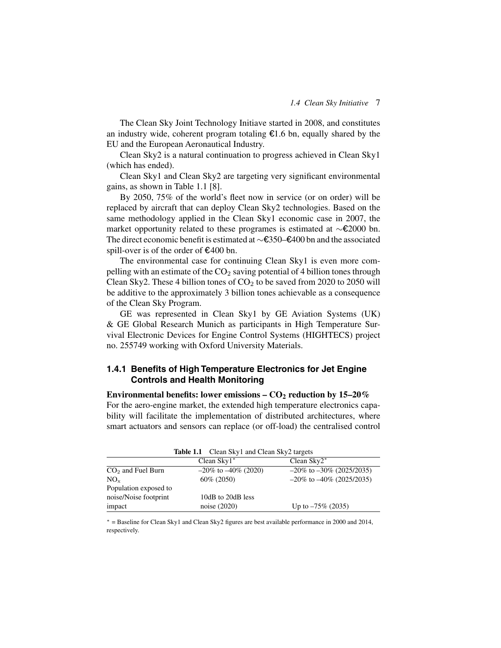The Clean Sky Joint Technology Initiave started in 2008, and constitutes an industry wide, coherent program totaling  $E1.6$  bn, equally shared by the EU and the European Aeronautical Industry.

Clean Sky2 is a natural continuation to progress achieved in Clean Sky1 (which has ended).

Clean Sky1 and Clean Sky2 are targeting very significant environmental gains, as shown in Table 1.1 [8].

By 2050, 75% of the world's fleet now in service (or on order) will be replaced by aircraft that can deploy Clean Sky2 technologies. Based on the same methodology applied in the Clean Sky1 economic case in 2007, the market opportunity related to these programes is estimated at  $\sim$ €2000 bn. The direct economic benefit is estimated at ∼€350–€400 bn and the associated spill-over is of the order of  $\epsilon$ 400 bn.

The environmental case for continuing Clean Sky1 is even more compelling with an estimate of the  $CO<sub>2</sub>$  saving potential of 4 billion tones through Clean Sky2. These 4 billion tones of  $CO<sub>2</sub>$  to be saved from 2020 to 2050 will be additive to the approximately 3 billion tones achievable as a consequence of the Clean Sky Program.

GE was represented in Clean Sky1 by GE Aviation Systems (UK) & GE Global Research Munich as participants in High Temperature Survival Electronic Devices for Engine Control Systems (HIGHTECS) project no. 255749 working with Oxford University Materials.

#### **1.4.1 Benefits of High Temperature Electronics for Jet Engine Controls and Health Monitoring**

**Environmental benefits: lower emissions –**  $CO_2$  **reduction by 15–20%** For the aero-engine market, the extended high temperature electronics capability will facilitate the implementation of distributed architectures, where smart actuators and sensors can replace (or off-load) the centralised control

| Table 1.1 Clean Sky1 and Clean Sky2 targets |                           |                                |  |  |  |  |  |
|---------------------------------------------|---------------------------|--------------------------------|--|--|--|--|--|
|                                             | Clean $Sky1^*$            | Clean $Sky2^*$                 |  |  |  |  |  |
| $CO2$ and Fuel Burn                         | $-20\%$ to $-40\%$ (2020) | $-20\%$ to $-30\%$ (2025/2035) |  |  |  |  |  |
| $NO_{x}$                                    | $60\%$ (2050)             | $-20\%$ to $-40\%$ (2025/2035) |  |  |  |  |  |
| Population exposed to                       |                           |                                |  |  |  |  |  |
| noise/Noise footprint                       | 10dB to 20dB less         |                                |  |  |  |  |  |
| impact                                      | noise (2020)              | Up to $-75\%$ (2035)           |  |  |  |  |  |

| <b>Table 1.1</b> Clean Sky1 and Clean Sky2 targets |  |  |  |  |
|----------------------------------------------------|--|--|--|--|
|                                                    |  |  |  |  |

∗ = Baseline for Clean Sky1 and Clean Sky2 figures are best available performance in 2000 and 2014, respectively.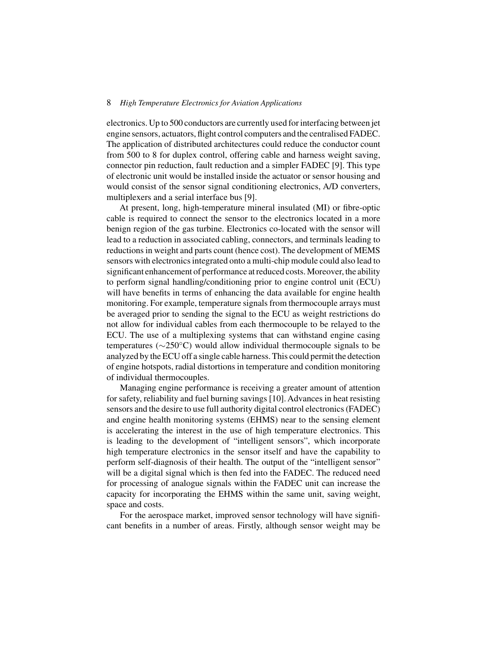#### 8 *High Temperature Electronics for Aviation Applications*

electronics. Up to 500 conductors are currently used for interfacing between jet engine sensors, actuators, flight control computers and the centralised FADEC. The application of distributed architectures could reduce the conductor count from 500 to 8 for duplex control, offering cable and harness weight saving, connector pin reduction, fault reduction and a simpler FADEC [9]. This type of electronic unit would be installed inside the actuator or sensor housing and would consist of the sensor signal conditioning electronics, A/D converters, multiplexers and a serial interface bus [9].

At present, long, high-temperature mineral insulated (MI) or fibre-optic cable is required to connect the sensor to the electronics located in a more benign region of the gas turbine. Electronics co-located with the sensor will lead to a reduction in associated cabling, connectors, and terminals leading to reductions in weight and parts count (hence cost). The development of MEMS sensors with electronics integrated onto a multi-chip module could also lead to significant enhancement of performance at reduced costs. Moreover, the ability to perform signal handling/conditioning prior to engine control unit (ECU) will have benefits in terms of enhancing the data available for engine health monitoring. For example, temperature signals from thermocouple arrays must be averaged prior to sending the signal to the ECU as weight restrictions do not allow for individual cables from each thermocouple to be relayed to the ECU. The use of a multiplexing systems that can withstand engine casing temperatures (∼250◦C) would allow individual thermocouple signals to be analyzed by the ECU off a single cable harness. This could permit the detection of engine hotspots, radial distortions in temperature and condition monitoring of individual thermocouples.

Managing engine performance is receiving a greater amount of attention for safety, reliability and fuel burning savings [10]. Advances in heat resisting sensors and the desire to use full authority digital control electronics (FADEC) and engine health monitoring systems (EHMS) near to the sensing element is accelerating the interest in the use of high temperature electronics. This is leading to the development of "intelligent sensors", which incorporate high temperature electronics in the sensor itself and have the capability to perform self-diagnosis of their health. The output of the "intelligent sensor" will be a digital signal which is then fed into the FADEC. The reduced need for processing of analogue signals within the FADEC unit can increase the capacity for incorporating the EHMS within the same unit, saving weight, space and costs.

For the aerospace market, improved sensor technology will have significant benefits in a number of areas. Firstly, although sensor weight may be